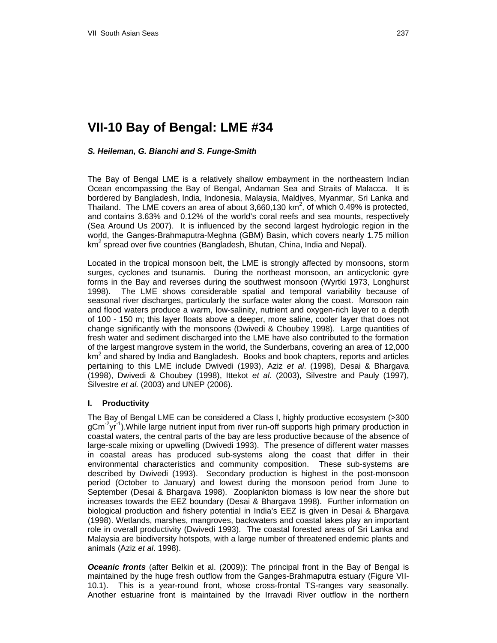# **VII-10 Bay of Bengal: LME #34**

# *S. Heileman, G. Bianchi and S. Funge-Smith*

The Bay of Bengal LME is a relatively shallow embayment in the northeastern Indian Ocean encompassing the Bay of Bengal, Andaman Sea and Straits of Malacca. It is bordered by Bangladesh, India, Indonesia, Malaysia, Maldives, Myanmar, Sri Lanka and Thailand. The LME covers an area of about 3,660,130 km<sup>2</sup>, of which 0.49% is protected, and contains 3.63% and 0.12% of the world's coral reefs and sea mounts, respectively (Sea Around Us 2007). It is influenced by the second largest hydrologic region in the world, the Ganges-Brahmaputra-Meghna (GBM) Basin, which covers nearly 1.75 million km<sup>2</sup> spread over five countries (Bangladesh, Bhutan, China, India and Nepal).

Located in the tropical monsoon belt, the LME is strongly affected by monsoons, storm surges, cyclones and tsunamis. During the northeast monsoon, an anticyclonic gyre forms in the Bay and reverses during the southwest monsoon (Wyrtki 1973, Longhurst 1998). The LME shows considerable spatial and temporal variability because of seasonal river discharges, particularly the surface water along the coast. Monsoon rain and flood waters produce a warm, low-salinity, nutrient and oxygen-rich layer to a depth of 100 - 150 m; this layer floats above a deeper, more saline, cooler layer that does not change significantly with the monsoons (Dwivedi & Choubey 1998). Large quantities of fresh water and sediment discharged into the LME have also contributed to the formation of the largest mangrove system in the world, the Sunderbans, covering an area of 12,000  $km<sup>2</sup>$  and shared by India and Bangladesh. Books and book chapters, reports and articles pertaining to this LME include Dwivedi (1993), Aziz *et al*. (1998), Desai & Bhargava (1998), Dwivedi & Choubey (1998), Ittekot *et al.* (2003), Silvestre and Pauly (1997), Silvestre *et al.* (2003) and UNEP (2006).

## **I. Productivity**

The Bay of Bengal LME can be considered a Class I, highly productive ecosystem (>300 gCm<sup>-2</sup>yr<sup>-1</sup>). While large nutrient input from river run-off supports high primary production in coastal waters, the central parts of the bay are less productive because of the absence of large-scale mixing or upwelling (Dwivedi 1993). The presence of different water masses in coastal areas has produced sub-systems along the coast that differ in their environmental characteristics and community composition. These sub-systems are described by Dwivedi (1993). Secondary production is highest in the post-monsoon period (October to January) and lowest during the monsoon period from June to September (Desai & Bhargava 1998). Zooplankton biomass is low near the shore but increases towards the EEZ boundary (Desai & Bhargava 1998). Further information on biological production and fishery potential in India's EEZ is given in Desai & Bhargava (1998). Wetlands, marshes, mangroves, backwaters and coastal lakes play an important role in overall productivity (Dwivedi 1993). The coastal forested areas of Sri Lanka and Malaysia are biodiversity hotspots, with a large number of threatened endemic plants and animals (Aziz *et al*. 1998).

*Oceanic fronts* (after Belkin et al. (2009)): The principal front in the Bay of Bengal is maintained by the huge fresh outflow from the Ganges-Brahmaputra estuary (Figure VII-10.1). This is a year-round front, whose cross-frontal TS-ranges vary seasonally. Another estuarine front is maintained by the Irravadi River outflow in the northern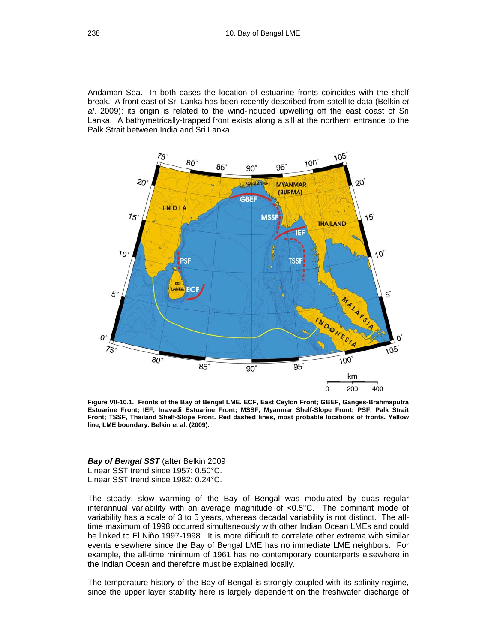Andaman Sea. In both cases the location of estuarine fronts coincides with the shelf break. A front east of Sri Lanka has been recently described from satellite data (Belkin *et al*. 2009); its origin is related to the wind-induced upwelling off the east coast of Sri Lanka. A bathymetrically-trapped front exists along a sill at the northern entrance to the Palk Strait between India and Sri Lanka.



**Figure VII-10.1. Fronts of the Bay of Bengal LME. ECF, East Ceylon Front; GBEF, Ganges-Brahmaputra Estuarine Front; IEF, Irravadi Estuarine Front; MSSF, Myanmar Shelf-Slope Front; PSF, Palk Strait Front; TSSF, Thailand Shelf-Slope Front. Red dashed lines, most probable locations of fronts. Yellow line, LME boundary. Belkin et al. (2009).** 

*Bay of Bengal SST* (after Belkin 2009 Linear SST trend since 1957: 0.50°C. Linear SST trend since 1982: 0.24°C.

The steady, slow warming of the Bay of Bengal was modulated by quasi-regular interannual variability with an average magnitude of <0.5°C. The dominant mode of variability has a scale of 3 to 5 years, whereas decadal variability is not distinct. The alltime maximum of 1998 occurred simultaneously with other Indian Ocean LMEs and could be linked to El Niño 1997-1998. It is more difficult to correlate other extrema with similar events elsewhere since the Bay of Bengal LME has no immediate LME neighbors. For example, the all-time minimum of 1961 has no contemporary counterparts elsewhere in the Indian Ocean and therefore must be explained locally.

The temperature history of the Bay of Bengal is strongly coupled with its salinity regime, since the upper layer stability here is largely dependent on the freshwater discharge of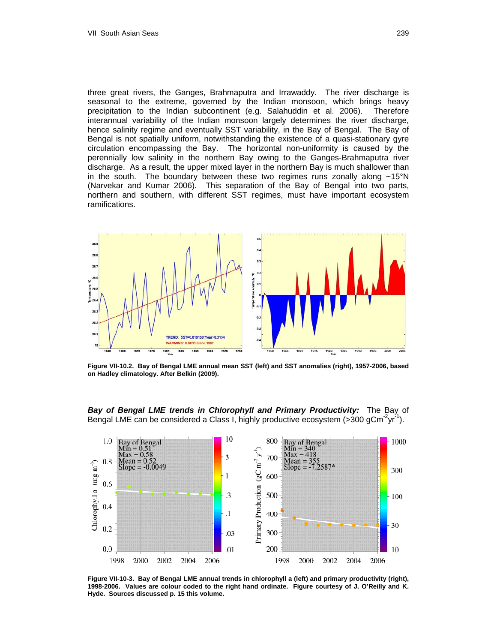three great rivers, the Ganges, Brahmaputra and Irrawaddy. The river discharge is seasonal to the extreme, governed by the Indian monsoon, which brings heavy precipitation to the Indian subcontinent (e.g. Salahuddin et al. 2006). Therefore interannual variability of the Indian monsoon largely determines the river discharge, hence salinity regime and eventually SST variability, in the Bay of Bengal. The Bay of Bengal is not spatially uniform, notwithstanding the existence of a quasi-stationary gyre circulation encompassing the Bay. The horizontal non-uniformity is caused by the perennially low salinity in the northern Bay owing to the Ganges-Brahmaputra river discharge. As a result, the upper mixed layer in the northern Bay is much shallower than in the south. The boundary between these two regimes runs zonally along  $~15^{\circ}$ N (Narvekar and Kumar 2006). This separation of the Bay of Bengal into two parts, northern and southern, with different SST regimes, must have important ecosystem ramifications.



**Figure VII-10.2. Bay of Bengal LME annual mean SST (left) and SST anomalies (right), 1957-2006, based on Hadley climatology. After Belkin (2009).** 

*Bay of Bengal LME trends in Chlorophyll and Primary Productivity:* The Bay of Bengal LME can be considered a Class I, highly productive ecosystem ( $>300$  gCm<sup>-2</sup>yr<sup>-1</sup>).



**Figure VII-10-3. Bay of Bengal LME annual trends in chlorophyll a (left) and primary productivity (right), 1998-2006. Values are colour coded to the right hand ordinate. Figure courtesy of J. O'Reilly and K. Hyde. Sources discussed p. 15 this volume.**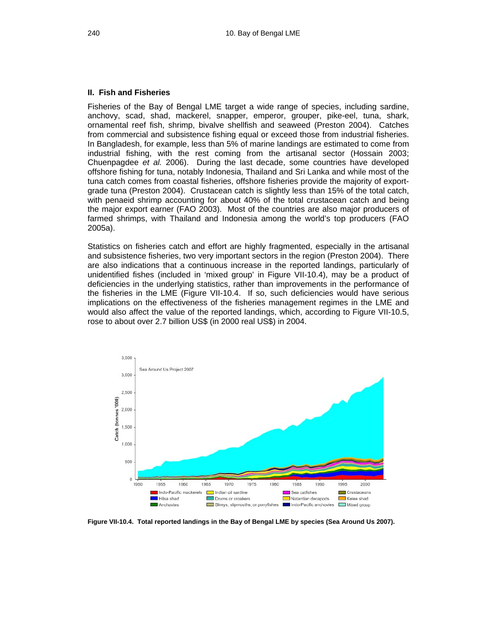#### **II. Fish and Fisheries**

Fisheries of the Bay of Bengal LME target a wide range of species, including sardine, anchovy, scad, shad, mackerel, snapper, emperor, grouper, pike-eel, tuna, shark, ornamental reef fish, shrimp, bivalve shellfish and seaweed (Preston 2004). Catches from commercial and subsistence fishing equal or exceed those from industrial fisheries. In Bangladesh, for example, less than 5% of marine landings are estimated to come from industrial fishing, with the rest coming from the artisanal sector (Hossain 2003; Chuenpagdee *et al.* 2006). During the last decade, some countries have developed offshore fishing for tuna, notably Indonesia, Thailand and Sri Lanka and while most of the tuna catch comes from coastal fisheries, offshore fisheries provide the majority of exportgrade tuna (Preston 2004). Crustacean catch is slightly less than 15% of the total catch, with penaeid shrimp accounting for about 40% of the total crustacean catch and being the major export earner (FAO 2003). Most of the countries are also major producers of farmed shrimps, with Thailand and Indonesia among the world's top producers (FAO 2005a).

Statistics on fisheries catch and effort are highly fragmented, especially in the artisanal and subsistence fisheries, two very important sectors in the region (Preston 2004). There are also indications that a continuous increase in the reported landings, particularly of unidentified fishes (included in 'mixed group' in Figure VII-10.4), may be a product of deficiencies in the underlying statistics, rather than improvements in the performance of the fisheries in the LME (Figure VII-10.4. If so, such deficiencies would have serious implications on the effectiveness of the fisheries management regimes in the LME and would also affect the value of the reported landings, which, according to Figure VII-10.5, rose to about over 2.7 billion US\$ (in 2000 real US\$) in 2004.



**Figure VII-10.4. Total reported landings in the Bay of Bengal LME by species (Sea Around Us 2007).**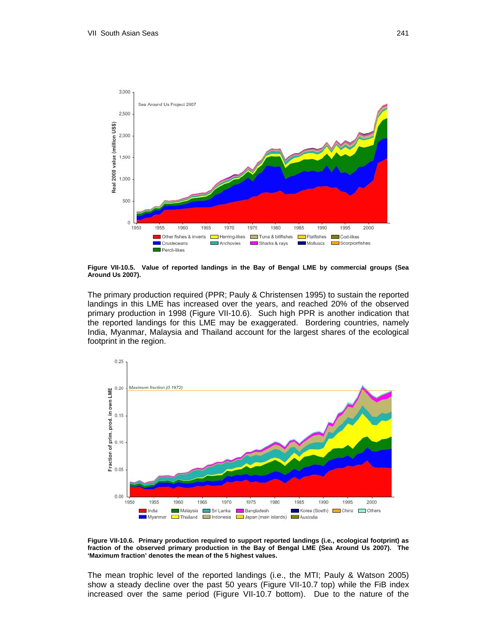

**Figure VII-10.5. Value of reported landings in the Bay of Bengal LME by commercial groups (Sea Around Us 2007).**

The primary production required (PPR; Pauly & Christensen 1995) to sustain the reported landings in this LME has increased over the years, and reached 20% of the observed primary production in 1998 (Figure VII-10.6). Such high PPR is another indication that the reported landings for this LME may be exaggerated. Bordering countries, namely India, Myanmar, Malaysia and Thailand account for the largest shares of the ecological footprint in the region.



**Figure VII-10.6. Primary production required to support reported landings (i.e., ecological footprint) as fraction of the observed primary production in the Bay of Bengal LME (Sea Around Us 2007). The 'Maximum fraction' denotes the mean of the 5 highest values.** 

The mean trophic level of the reported landings (i.e., the MTI; Pauly & Watson 2005) show a steady decline over the past 50 years (Figure VII-10.7 top) while the FiB index increased over the same period (Figure VII-10.7 bottom). Due to the nature of the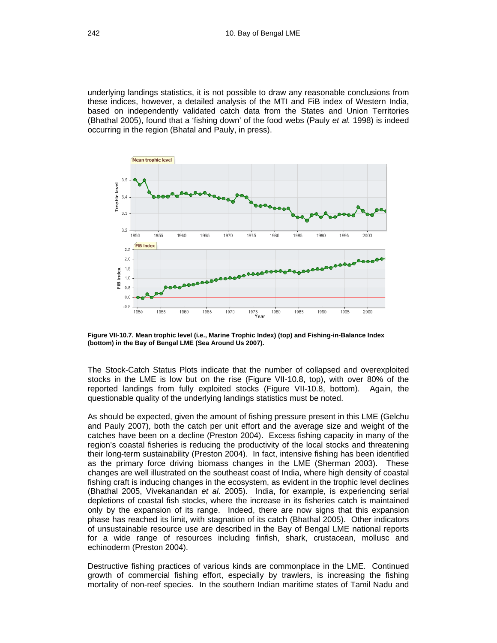underlying landings statistics, it is not possible to draw any reasonable conclusions from these indices, however, a detailed analysis of the MTI and FiB index of Western India, based on independently validated catch data from the States and Union Territories (Bhathal 2005), found that a 'fishing down' of the food webs (Pauly *et al.* 1998) is indeed occurring in the region (Bhatal and Pauly, in press).



**Figure VII-10.7. Mean trophic level (i.e., Marine Trophic Index) (top) and Fishing-in-Balance Index (bottom) in the Bay of Bengal LME (Sea Around Us 2007).** 

The Stock-Catch Status Plots indicate that the number of collapsed and overexploited stocks in the LME is low but on the rise (Figure VII-10.8, top), with over 80% of the reported landings from fully exploited stocks (Figure VII-10.8, bottom). Again, the questionable quality of the underlying landings statistics must be noted.

As should be expected, given the amount of fishing pressure present in this LME (Gelchu and Pauly 2007), both the catch per unit effort and the average size and weight of the catches have been on a decline (Preston 2004). Excess fishing capacity in many of the region's coastal fisheries is reducing the productivity of the local stocks and threatening their long-term sustainability (Preston 2004). In fact, intensive fishing has been identified as the primary force driving biomass changes in the LME (Sherman 2003). These changes are well illustrated on the southeast coast of India, where high density of coastal fishing craft is inducing changes in the ecosystem, as evident in the trophic level declines (Bhathal 2005, Vivekanandan *et al*. 2005). India, for example, is experiencing serial depletions of coastal fish stocks, where the increase in its fisheries catch is maintained only by the expansion of its range. Indeed, there are now signs that this expansion phase has reached its limit, with stagnation of its catch (Bhathal 2005). Other indicators of unsustainable resource use are described in the Bay of Bengal LME national reports for a wide range of resources including finfish, shark, crustacean, mollusc and echinoderm (Preston 2004).

Destructive fishing practices of various kinds are commonplace in the LME. Continued growth of commercial fishing effort, especially by trawlers, is increasing the fishing mortality of non-reef species. In the southern Indian maritime states of Tamil Nadu and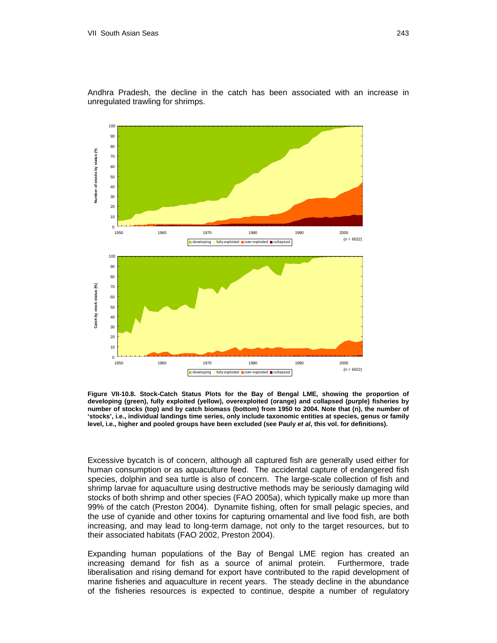



**Figure VII-10.8. Stock-Catch Status Plots for the Bay of Bengal LME, showing the proportion of developing (green), fully exploited (yellow), overexploited (orange) and collapsed (purple) fisheries by number of stocks (top) and by catch biomass (bottom) from 1950 to 2004. Note that (n), the number of 'stocks', i.e., individual landings time series, only include taxonomic entities at species, genus or family level, i.e., higher and pooled groups have been excluded (see Pauly** *et al***, this vol. for definitions).** 

Excessive bycatch is of concern, although all captured fish are generally used either for human consumption or as aquaculture feed. The accidental capture of endangered fish species, dolphin and sea turtle is also of concern. The large-scale collection of fish and shrimp larvae for aquaculture using destructive methods may be seriously damaging wild stocks of both shrimp and other species (FAO 2005a), which typically make up more than 99% of the catch (Preston 2004). Dynamite fishing, often for small pelagic species, and the use of cyanide and other toxins for capturing ornamental and live food fish, are both increasing, and may lead to long-term damage, not only to the target resources, but to their associated habitats (FAO 2002, Preston 2004).

Expanding human populations of the Bay of Bengal LME region has created an increasing demand for fish as a source of animal protein. Furthermore, trade liberalisation and rising demand for export have contributed to the rapid development of marine fisheries and aquaculture in recent years. The steady decline in the abundance of the fisheries resources is expected to continue, despite a number of regulatory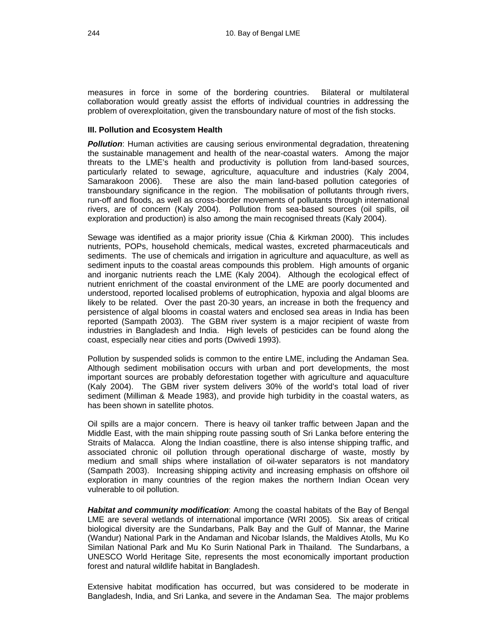measures in force in some of the bordering countries. Bilateral or multilateral collaboration would greatly assist the efforts of individual countries in addressing the problem of overexploitation, given the transboundary nature of most of the fish stocks.

#### **III. Pollution and Ecosystem Health**

**Pollution**: Human activities are causing serious environmental degradation, threatening the sustainable management and health of the near-coastal waters. Among the major threats to the LME's health and productivity is pollution from land-based sources, particularly related to sewage, agriculture, aquaculture and industries (Kaly 2004, Samarakoon 2006). These are also the main land-based pollution categories of transboundary significance in the region. The mobilisation of pollutants through rivers, run-off and floods, as well as cross-border movements of pollutants through international rivers, are of concern (Kaly 2004). Pollution from sea-based sources (oil spills, oil exploration and production) is also among the main recognised threats (Kaly 2004).

Sewage was identified as a major priority issue (Chia & Kirkman 2000). This includes nutrients, POPs, household chemicals, medical wastes, excreted pharmaceuticals and sediments. The use of chemicals and irrigation in agriculture and aquaculture, as well as sediment inputs to the coastal areas compounds this problem. High amounts of organic and inorganic nutrients reach the LME (Kaly 2004). Although the ecological effect of nutrient enrichment of the coastal environment of the LME are poorly documented and understood, reported localised problems of eutrophication, hypoxia and algal blooms are likely to be related. Over the past 20-30 years, an increase in both the frequency and persistence of algal blooms in coastal waters and enclosed sea areas in India has been reported (Sampath 2003). The GBM river system is a major recipient of waste from industries in Bangladesh and India. High levels of pesticides can be found along the coast, especially near cities and ports (Dwivedi 1993).

Pollution by suspended solids is common to the entire LME, including the Andaman Sea. Although sediment mobilisation occurs with urban and port developments, the most important sources are probably deforestation together with agriculture and aquaculture (Kaly 2004). The GBM river system delivers 30% of the world's total load of river sediment (Milliman & Meade 1983), and provide high turbidity in the coastal waters, as has been shown in satellite photos.

Oil spills are a major concern. There is heavy oil tanker traffic between Japan and the Middle East, with the main shipping route passing south of Sri Lanka before entering the Straits of Malacca. Along the Indian coastline, there is also intense shipping traffic, and associated chronic oil pollution through operational discharge of waste, mostly by medium and small ships where installation of oil-water separators is not mandatory (Sampath 2003). Increasing shipping activity and increasing emphasis on offshore oil exploration in many countries of the region makes the northern Indian Ocean very vulnerable to oil pollution.

*Habitat and community modification*: Among the coastal habitats of the Bay of Bengal LME are several wetlands of international importance (WRI 2005). Six areas of critical biological diversity are the Sundarbans, Palk Bay and the Gulf of Mannar, the Marine (Wandur) National Park in the Andaman and Nicobar Islands, the Maldives Atolls, Mu Ko Similan National Park and Mu Ko Surin National Park in Thailand. The Sundarbans, a UNESCO World Heritage Site, represents the most economically important production forest and natural wildlife habitat in Bangladesh.

Extensive habitat modification has occurred, but was considered to be moderate in Bangladesh, India, and Sri Lanka, and severe in the Andaman Sea. The major problems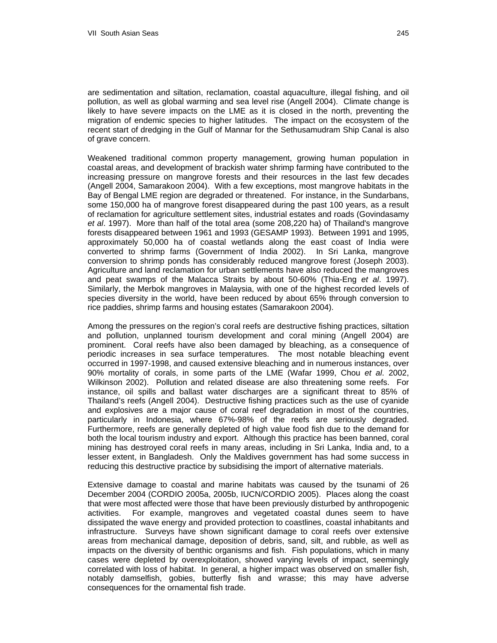are sedimentation and siltation, reclamation, coastal aquaculture, illegal fishing, and oil pollution, as well as global warming and sea level rise (Angell 2004). Climate change is likely to have severe impacts on the LME as it is closed in the north, preventing the migration of endemic species to higher latitudes. The impact on the ecosystem of the recent start of dredging in the Gulf of Mannar for the Sethusamudram Ship Canal is also of grave concern.

Weakened traditional common property management, growing human population in coastal areas, and development of brackish water shrimp farming have contributed to the increasing pressure on mangrove forests and their resources in the last few decades (Angell 2004, Samarakoon 2004). With a few exceptions, most mangrove habitats in the Bay of Bengal LME region are degraded or threatened. For instance, in the Sundarbans, some 150,000 ha of mangrove forest disappeared during the past 100 years, as a result of reclamation for agriculture settlement sites, industrial estates and roads (Govindasamy *et al*. 1997). More than half of the total area (some 208,220 ha) of Thailand's mangrove forests disappeared between 1961 and 1993 (GESAMP 1993). Between 1991 and 1995, approximately 50,000 ha of coastal wetlands along the east coast of India were converted to shrimp farms (Government of India 2002). In Sri Lanka, mangrove conversion to shrimp ponds has considerably reduced mangrove forest (Joseph 2003). Agriculture and land reclamation for urban settlements have also reduced the mangroves and peat swamps of the Malacca Straits by about 50-60% (Thia-Eng *et al*. 1997). Similarly, the Merbok mangroves in Malaysia, with one of the highest recorded levels of species diversity in the world, have been reduced by about 65% through conversion to rice paddies, shrimp farms and housing estates (Samarakoon 2004).

Among the pressures on the region's coral reefs are destructive fishing practices, siltation and pollution, unplanned tourism development and coral mining (Angell 2004) are prominent. Coral reefs have also been damaged by bleaching, as a consequence of periodic increases in sea surface temperatures. The most notable bleaching event occurred in 1997-1998, and caused extensive bleaching and in numerous instances, over 90% mortality of corals, in some parts of the LME (Wafar 1999, Chou *et al*. 2002, Wilkinson 2002). Pollution and related disease are also threatening some reefs. For instance, oil spills and ballast water discharges are a significant threat to 85% of Thailand's reefs (Angell 2004). Destructive fishing practices such as the use of cyanide and explosives are a major cause of coral reef degradation in most of the countries, particularly in Indonesia, where 67%-98% of the reefs are seriously degraded. Furthermore, reefs are generally depleted of high value food fish due to the demand for both the local tourism industry and export. Although this practice has been banned, coral mining has destroyed coral reefs in many areas, including in Sri Lanka, India and, to a lesser extent, in Bangladesh. Only the Maldives government has had some success in reducing this destructive practice by subsidising the import of alternative materials.

Extensive damage to coastal and marine habitats was caused by the tsunami of 26 December 2004 (CORDIO 2005a, 2005b, IUCN/CORDIO 2005). Places along the coast that were most affected were those that have been previously disturbed by anthropogenic activities. For example, mangroves and vegetated coastal dunes seem to have dissipated the wave energy and provided protection to coastlines, coastal inhabitants and infrastructure. Surveys have shown significant damage to coral reefs over extensive areas from mechanical damage, deposition of debris, sand, silt, and rubble, as well as impacts on the diversity of benthic organisms and fish. Fish populations, which in many cases were depleted by overexploitation, showed varying levels of impact, seemingly correlated with loss of habitat. In general, a higher impact was observed on smaller fish, notably damselfish, gobies, butterfly fish and wrasse; this may have adverse consequences for the ornamental fish trade.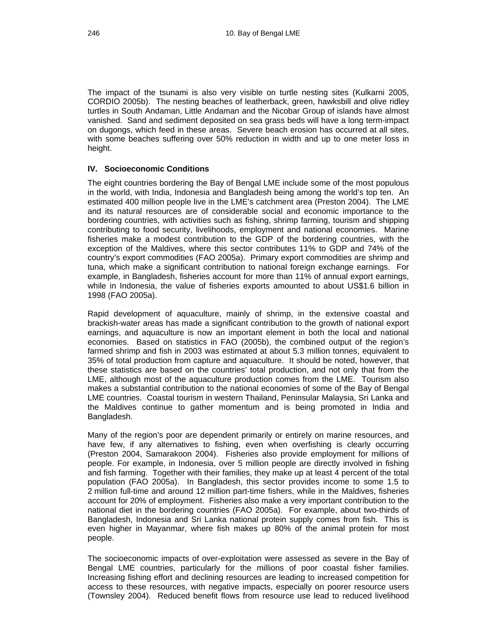The impact of the tsunami is also very visible on turtle nesting sites (Kulkarni 2005, CORDIO 2005b). The nesting beaches of leatherback, green, hawksbill and olive ridley turtles in South Andaman, Little Andaman and the Nicobar Group of islands have almost vanished. Sand and sediment deposited on sea grass beds will have a long term-impact on dugongs, which feed in these areas. Severe beach erosion has occurred at all sites, with some beaches suffering over 50% reduction in width and up to one meter loss in height.

# **IV. Socioeconomic Conditions**

The eight countries bordering the Bay of Bengal LME include some of the most populous in the world, with India, Indonesia and Bangladesh being among the world's top ten. An estimated 400 million people live in the LME's catchment area (Preston 2004). The LME and its natural resources are of considerable social and economic importance to the bordering countries, with activities such as fishing, shrimp farming, tourism and shipping contributing to food security, livelihoods, employment and national economies. Marine fisheries make a modest contribution to the GDP of the bordering countries, with the exception of the Maldives, where this sector contributes 11% to GDP and 74% of the country's export commodities (FAO 2005a). Primary export commodities are shrimp and tuna, which make a significant contribution to national foreign exchange earnings. For example, in Bangladesh, fisheries account for more than 11% of annual export earnings, while in Indonesia, the value of fisheries exports amounted to about US\$1.6 billion in 1998 (FAO 2005a).

Rapid development of aquaculture, mainly of shrimp, in the extensive coastal and brackish-water areas has made a significant contribution to the growth of national export earnings, and aquaculture is now an important element in both the local and national economies. Based on statistics in FAO (2005b), the combined output of the region's farmed shrimp and fish in 2003 was estimated at about 5.3 million tonnes, equivalent to 35% of total production from capture and aquaculture. It should be noted, however, that these statistics are based on the countries' total production, and not only that from the LME, although most of the aquaculture production comes from the LME. Tourism also makes a substantial contribution to the national economies of some of the Bay of Bengal LME countries. Coastal tourism in western Thailand, Peninsular Malaysia, Sri Lanka and the Maldives continue to gather momentum and is being promoted in India and Bangladesh.

Many of the region's poor are dependent primarily or entirely on marine resources, and have few, if any alternatives to fishing, even when overfishing is clearly occurring (Preston 2004, Samarakoon 2004). Fisheries also provide employment for millions of people. For example, in Indonesia, over 5 million people are directly involved in fishing and fish farming. Together with their families, they make up at least 4 percent of the total population (FAO 2005a). In Bangladesh, this sector provides income to some 1.5 to 2 million full-time and around 12 million part-time fishers, while in the Maldives, fisheries account for 20% of employment. Fisheries also make a very important contribution to the national diet in the bordering countries (FAO 2005a). For example, about two-thirds of Bangladesh, Indonesia and Sri Lanka national protein supply comes from fish. This is even higher in Mayanmar, where fish makes up 80% of the animal protein for most people.

The socioeconomic impacts of over-exploitation were assessed as severe in the Bay of Bengal LME countries, particularly for the millions of poor coastal fisher families. Increasing fishing effort and declining resources are leading to increased competition for access to these resources, with negative impacts, especially on poorer resource users (Townsley 2004). Reduced benefit flows from resource use lead to reduced livelihood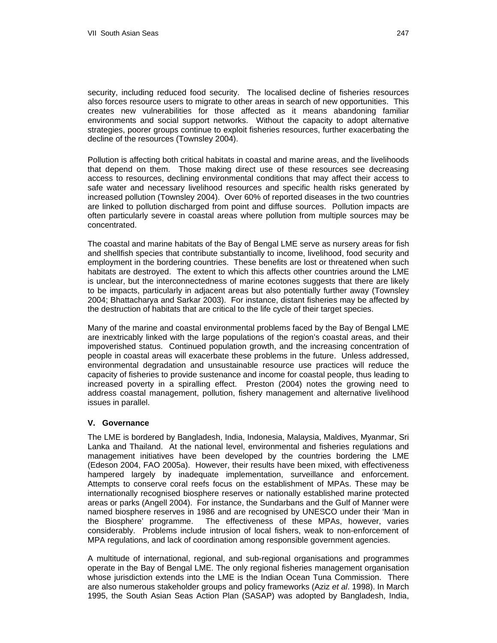security, including reduced food security. The localised decline of fisheries resources also forces resource users to migrate to other areas in search of new opportunities. This creates new vulnerabilities for those affected as it means abandoning familiar environments and social support networks. Without the capacity to adopt alternative strategies, poorer groups continue to exploit fisheries resources, further exacerbating the decline of the resources (Townsley 2004).

Pollution is affecting both critical habitats in coastal and marine areas, and the livelihoods that depend on them. Those making direct use of these resources see decreasing access to resources, declining environmental conditions that may affect their access to safe water and necessary livelihood resources and specific health risks generated by increased pollution (Townsley 2004). Over 60% of reported diseases in the two countries are linked to pollution discharged from point and diffuse sources. Pollution impacts are often particularly severe in coastal areas where pollution from multiple sources may be concentrated.

The coastal and marine habitats of the Bay of Bengal LME serve as nursery areas for fish and shellfish species that contribute substantially to income, livelihood, food security and employment in the bordering countries. These benefits are lost or threatened when such habitats are destroyed. The extent to which this affects other countries around the LME is unclear, but the interconnectedness of marine ecotones suggests that there are likely to be impacts, particularly in adjacent areas but also potentially further away (Townsley 2004; Bhattacharya and Sarkar 2003). For instance, distant fisheries may be affected by the destruction of habitats that are critical to the life cycle of their target species.

Many of the marine and coastal environmental problems faced by the Bay of Bengal LME are inextricably linked with the large populations of the region's coastal areas, and their impoverished status. Continued population growth, and the increasing concentration of people in coastal areas will exacerbate these problems in the future. Unless addressed, environmental degradation and unsustainable resource use practices will reduce the capacity of fisheries to provide sustenance and income for coastal people, thus leading to increased poverty in a spiralling effect. Preston (2004) notes the growing need to address coastal management, pollution, fishery management and alternative livelihood issues in parallel.

## **V. Governance**

The LME is bordered by Bangladesh, India, Indonesia, Malaysia, Maldives, Myanmar, Sri Lanka and Thailand. At the national level, environmental and fisheries regulations and management initiatives have been developed by the countries bordering the LME (Edeson 2004, FAO 2005a). However, their results have been mixed, with effectiveness hampered largely by inadequate implementation, surveillance and enforcement. Attempts to conserve coral reefs focus on the establishment of MPAs. These may be internationally recognised biosphere reserves or nationally established marine protected areas or parks (Angell 2004). For instance, the Sundarbans and the Gulf of Manner were named biosphere reserves in 1986 and are recognised by UNESCO under their 'Man in the Biosphere' programme. The effectiveness of these MPAs, however, varies considerably. Problems include intrusion of local fishers, weak to non-enforcement of MPA regulations, and lack of coordination among responsible government agencies.

A multitude of international, regional, and sub-regional organisations and programmes operate in the Bay of Bengal LME. The only regional fisheries management organisation whose jurisdiction extends into the LME is the Indian Ocean Tuna Commission. There are also numerous stakeholder groups and policy frameworks (Aziz *et al*. 1998). In March 1995, the South Asian Seas Action Plan (SASAP) was adopted by Bangladesh, India,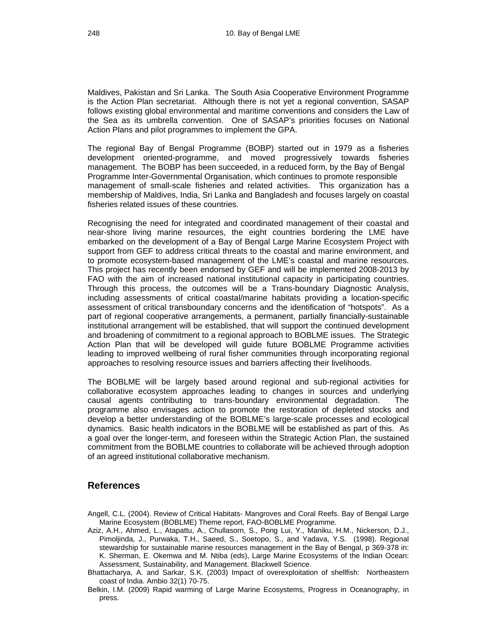Maldives, Pakistan and Sri Lanka. The South Asia Cooperative Environment Programme is the Action Plan secretariat. Although there is not yet a regional convention, SASAP follows existing global environmental and maritime conventions and considers the Law of the Sea as its umbrella convention. One of SASAP's priorities focuses on National Action Plans and pilot programmes to implement the GPA.

The regional Bay of Bengal Programme (BOBP) started out in 1979 as a fisheries development oriented-programme, and moved progressively towards fisheries management. The BOBP has been succeeded, in a reduced form, by the Bay of Bengal Programme Inter-Governmental Organisation, which continues to promote responsible management of small-scale fisheries and related activities. This organization has a membership of Maldives, India, Sri Lanka and Bangladesh and focuses largely on coastal fisheries related issues of these countries.

Recognising the need for integrated and coordinated management of their coastal and near-shore living marine resources, the eight countries bordering the LME have embarked on the development of a Bay of Bengal Large Marine Ecosystem Project with support from GEF to address critical threats to the coastal and marine environment, and to promote ecosystem-based management of the LME's coastal and marine resources. This project has recently been endorsed by GEF and will be implemented 2008-2013 by FAO with the aim of increased national institutional capacity in participating countries. Through this process, the outcomes will be a Trans-boundary Diagnostic Analysis, including assessments of critical coastal/marine habitats providing a location-specific assessment of critical transboundary concerns and the identification of "hotspots". As a part of regional cooperative arrangements, a permanent, partially financially-sustainable institutional arrangement will be established, that will support the continued development and broadening of commitment to a regional approach to BOBLME issues. The Strategic Action Plan that will be developed will guide future BOBLME Programme activities leading to improved wellbeing of rural fisher communities through incorporating regional approaches to resolving resource issues and barriers affecting their livelihoods.

The BOBLME will be largely based around regional and sub-regional activities for collaborative ecosystem approaches leading to changes in sources and underlying causal agents contributing to trans-boundary environmental degradation. The programme also envisages action to promote the restoration of depleted stocks and develop a better understanding of the BOBLME's large-scale processes and ecological dynamics. Basic health indicators in the BOBLME will be established as part of this. As a goal over the longer-term, and foreseen within the Strategic Action Plan, the sustained commitment from the BOBLME countries to collaborate will be achieved through adoption of an agreed institutional collaborative mechanism.

# **References**

- Angell, C.L. (2004). Review of Critical Habitats- Mangroves and Coral Reefs. Bay of Bengal Large Marine Ecosystem (BOBLME) Theme report, FAO-BOBLME Programme.
- Aziz, A.H., Ahmed, L., Atapattu, A., Chullasorn, S., Pong Lui, Y., Maniku, H.M., Nickerson, D.J., Pimoljinda, J., Purwaka, T.H., Saeed, S., Soetopo, S., and Yadava, Y.S. (1998). Regional stewardship for sustainable marine resources management in the Bay of Bengal, p 369-378 in: K. Sherman, E. Okemwa and M. Ntiba (eds), Large Marine Ecosystems of the Indian Ocean: Assessment, Sustainability, and Management. Blackwell Science.
- Bhattacharya, A. and Sarkar, S.K. (2003) Impact of overexploitation of shellfish: Northeastern coast of India. Ambio 32(1) 70-75.
- Belkin, I.M. (2009) Rapid warming of Large Marine Ecosystems, Progress in Oceanography, in press.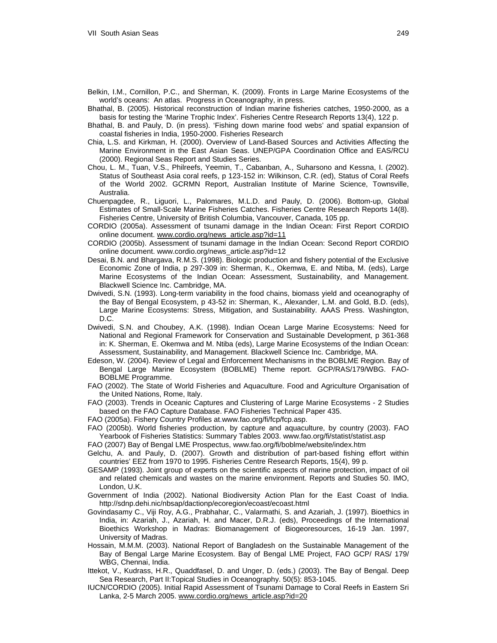- Belkin, I.M., Cornillon, P.C., and Sherman, K. (2009). Fronts in Large Marine Ecosystems of the world's oceans: An atlas. Progress in Oceanography, in press.
- Bhathal, B. (2005). Historical reconstruction of Indian marine fisheries catches, 1950-2000, as a basis for testing the 'Marine Trophic Index'. Fisheries Centre Research Reports 13(4), 122 p.
- Bhathal, B. and Pauly, D. (in press). 'Fishing down marine food webs' and spatial expansion of coastal fisheries in India, 1950-2000. Fisheries Research
- Chia, L.S. and Kirkman, H. (2000). Overview of Land-Based Sources and Activities Affecting the Marine Environment in the East Asian Seas. UNEP/GPA Coordination Office and EAS/RCU (2000). Regional Seas Report and Studies Series.
- Chou, L. M., Tuan, V.S., Philreefs, Yeemin, T., Cabanban, A., Suharsono and Kessna, I. (2002). Status of Southeast Asia coral reefs, p 123-152 in: Wilkinson, C.R. (ed), Status of Coral Reefs of the World 2002. GCRMN Report, Australian Institute of Marine Science, Townsville, Australia.
- Chuenpagdee, R., Liguori, L., Palomares, M.L.D. and Pauly, D. (2006). Bottom-up, Global Estimates of Small-Scale Marine Fisheries Catches. Fisheries Centre Research Reports 14(8). Fisheries Centre, University of British Columbia, Vancouver, Canada, 105 pp.
- CORDIO (2005a). Assessment of tsunami damage in the Indian Ocean: First Report CORDIO online document. [www.cordio.org/news\\_article.asp?id=11](http://www.cordio.org/news_article.asp?id=11)
- CORDIO (2005b). Assessment of tsunami damage in the Indian Ocean: Second Report CORDIO online document. www.cordio.org/news\_article.asp?id=12
- Desai, B.N. and Bhargava, R.M.S. (1998). Biologic production and fishery potential of the Exclusive Economic Zone of India, p 297-309 in: Sherman, K., Okemwa, E. and Ntiba, M. (eds), Large Marine Ecosystems of the Indian Ocean: Assessment, Sustainability, and Management. Blackwell Science Inc. Cambridge, MA.
- Dwivedi, S.N. (1993). Long-term variability in the food chains, biomass yield and oceanography of the Bay of Bengal Ecosystem, p 43-52 in: Sherman, K., Alexander, L.M. and Gold, B.D. (eds), Large Marine Ecosystems: Stress, Mitigation, and Sustainability. AAAS Press. Washington, D.C.
- Dwivedi, S.N. and Choubey, A.K. (1998). Indian Ocean Large Marine Ecosystems: Need for National and Regional Framework for Conservation and Sustainable Development, p 361-368 in: K. Sherman, E. Okemwa and M. Ntiba (eds), Large Marine Ecosystems of the Indian Ocean: Assessment, Sustainability, and Management. Blackwell Science Inc. Cambridge, MA.
- Edeson, W. (2004). Review of Legal and Enforcement Mechanisms in the BOBLME Region. Bay of Bengal Large Marine Ecosystem (BOBLME) Theme report. GCP/RAS/179/WBG. FAO-BOBLME Programme.
- FAO (2002). The State of World Fisheries and Aquaculture. Food and Agriculture Organisation of the United Nations, Rome, Italy.
- FAO (2003). Trends in Oceanic Captures and Clustering of Large Marine Ecosystems 2 Studies based on the FAO Capture Database. FAO Fisheries Technical Paper 435.
- FAO (2005a). Fishery Country Profiles at.[www.fao.org/fi/fcp/fcp.asp.](http://www.fao.org/fi/fcp/fcp.asp)
- FAO (2005b). World fisheries production, by capture and aquaculture, by country (2003). FAO Yearbook of Fisheries Statistics: Summary Tables 2003. www.fao.org/fi/statist/statist.asp
- FAO (2007) Bay of Bengal LME Prospectus, www.fao.org/fi/boblme/website/index.htm
- Gelchu, A. and Pauly, D. (2007). Growth and distribution of part-based fishing effort within countries' EEZ from 1970 to 1995. Fisheries Centre Research Reports, 15(4), 99 p.
- GESAMP (1993). Joint group of experts on the scientific aspects of marine protection, impact of oil and related chemicals and wastes on the marine environment. Reports and Studies 50. IMO, London, U.K.
- Government of India (2002). National Biodiversity Action Plan for the East Coast of India. http://sdnp.dehi.nic/nbsap/dactionp/ecoregion/ecoast/ecoast.html
- Govindasamy C., Viji Roy, A.G., Prabhahar, C., Valarmathi, S. and Azariah, J. (1997). Bioethics in India, in: Azariah, J., Azariah, H. and Macer, D.R.J. (eds), Proceedings of the International Bioethics Workshop in Madras: Biomanagement of Biogeoresources, 16-19 Jan. 1997, University of Madras.
- Hossain, M.M.M. (2003). National Report of Bangladesh on the Sustainable Management of the Bay of Bengal Large Marine Ecosystem. Bay of Bengal LME Project, FAO GCP/ RAS/ 179/ WBG, Chennai, India.
- Ittekot, V., Kudrass, H.R., Quaddfasel, D. and Unger, D. (eds.) (2003). The Bay of Bengal. Deep Sea Research, Part II:Topical Studies in Oceanography. 50(5): 853-1045.
- IUCN/CORDIO (2005). Initial Rapid Assessment of Tsunami Damage to Coral Reefs in Eastern Sri Lanka, 2-5 March 2005. [www.cordio.org/news\\_article.asp?id=20](http://www.cordio.org/news_article.asp?id=20)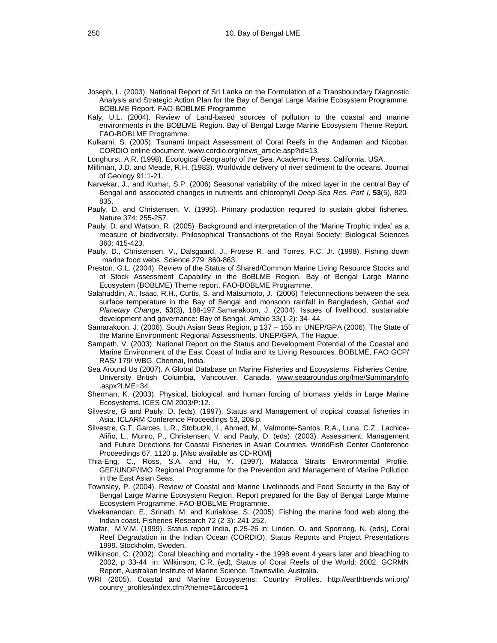- Joseph, L. (2003). National Report of Sri Lanka on the Formulation of a Transboundary Diagnostic Analysis and Strategic Action Plan for the Bay of Bengal Large Marine Ecosystem Programme. BOBLME Report. FAO-BOBLME Programme
- Kaly, U.L. (2004). Review of Land-based sources of pollution to the coastal and marine environments in the BOBLME Region. Bay of Bengal Large Marine Ecosystem Theme Report. FAO-BOBLME Programme.
- Kulkarni, S. (2005). Tsunami Impact Assessment of Coral Reefs in the Andaman and Nicobar. CORDIO online document. www.cordio.org/news\_article.asp?id=13.
- Longhurst, A.R. (1998). Ecological Geography of the Sea. Academic Press, California, USA.
- Milliman, J.D. and Meade, R.H. (1983). Worldwide delivery of river sediment to the oceans. Journal of Geology 91:1-21.
- Narvekar, J., and Kumar, S.P. (2006) Seasonal variability of the mixed layer in the central Bay of Bengal and associated changes in nutrients and chlorophyll *Deep-Sea Res. Part I*, **53**(5), 820- 835.
- Pauly, D. and Christensen, V. (1995). Primary production required to sustain global fisheries. Nature 374: 255-257.
- Pauly, D. and Watson, R. (2005). Background and interpretation of the 'Marine Trophic Index' as a measure of biodiversity. Philosophical Transactions of the Royal Society: Biological Sciences 360: 415-423.
- Pauly, D., Christensen, V., Dalsgaard, J., Froese R. and Torres, F.C. Jr. (1998). Fishing down marine food webs. Science 279: 860-863.
- Preston, G.L. (2004). Review of the Status of Shared/Common Marine Living Resource Stocks and of Stock Assessment Capability in the BoBLME Region. Bay of Bengal Large Marine Ecosystem (BOBLME) Theme report, FAO-BOBLME Programme.
- Salahuddin, A., Isaac, R.H., Curtis, S. and Matsumoto, J. (2006) Teleconnections between the sea surface temperature in the Bay of Bengal and monsoon rainfall in Bangladesh, *Global and Planetary Change*, **53**(3), 188-197.Samarakoon, J. (2004). Issues of livelihood, sustainable development and governance: Bay of Bengal. Ambio 33(1-2): 34- 44.
- Samarakoon, J. (2006). South Asian Seas Region, p 137 155 in: UNEP/GPA (2006), The State of the Marine Environment: Regional Assessments. UNEP/GPA, The Hague.
- Sampath, V. (2003). National Report on the Status and Development Potential of the Coastal and Marine Environment of the East Coast of India and its Living Resources. BOBLME, FAO GCP/ RAS/ 179/ WBG, Chennai, India.
- Sea Around Us (2007). A Global Database on Marine Fisheries and Ecosystems. Fisheries Centre, University British Columbia, Vancouver, Canada. [www.seaaroundus.org/lme/SummaryInfo](http://www.seaaroundus.org/lme/SummaryInfo) .aspx?LME=34
- Sherman, K. (2003). Physical, biological, and human forcing of biomass yields in Large Marine Ecosystems. ICES CM 2003/P:12.
- Silvestre, G and Pauly, D. (eds). (1997). Status and Management of tropical coastal fisheries in Asia. ICLARM Conference Proceedings 53, 208 p.
- Silvestre, G.T, Garces, L.R., Stobutzki, I., Ahmed, M., Valmonte-Santos, R.A., Luna, C.Z., Lachica-Aliño, L., Munro, P., Christensen, V. and Pauly, D. (eds). (2003). Assessment, Management and Future Directions for Coastal Fisheries in Asian Countries. WorldFish Center Conference Proceedings 67, 1120 p. [Also available as CD-ROM]
- Thia-Eng, C., Ross, S.A. and Hu, Y. (1997). Malacca Straits Environmental Profile. [GEF/UNDP/IMO Regional Programme for the Prevention and Management of Marine Pollution](http://www.bestwebbuys.com/GEF_UNDP_IMO_Regional_Programme_for_the_Prevention_and_Management-author.html?isrc=b-compare-author)  [in the East Asian Seas.](http://www.bestwebbuys.com/GEF_UNDP_IMO_Regional_Programme_for_the_Prevention_and_Management-author.html?isrc=b-compare-author)
- Townsley, P. (2004). Review of Coastal and Marine Livelihoods and Food Security in the Bay of Bengal Large Marine Ecosystem Region. Report prepared for the Bay of Bengal Large Marine Ecosystem Programme. FAO-BOBLME Programme.
- Vivekanandan, E., Srinath, M. and Kuriakose, S. (2005). Fishing the marine food web along the Indian coast. Fisheries Research 72 (2-3): 241-252.
- Wafar, M.V.M. (1999). Status report India, p.25-26 in: Linden, O. and Sporrong, N. (eds), Coral Reef Degradation in the Indian Ocean (CORDIO). Status Reports and Project Presentations 1999. Stockholm, Sweden.
- Wilkinson, C. (2002). Coral bleaching and mortality the 1998 event 4 years later and bleaching to 2002, p 33-44 in: Wilkinson, C.R. (ed), Status of Coral Reefs of the World: 2002. GCRMN Report, Australian Institute of Marine Science, Townsville, Australia.
- WRI (2005). Coastal and Marine Ecosystems: Country Profiles. http://earthtrends.wri.org/ country\_profiles/index.cfm?theme=1&rcode=1